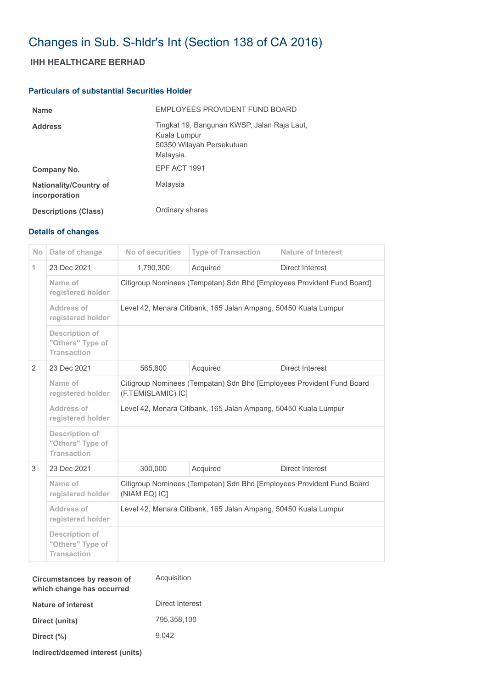## Changes in Sub. S-hldr's Int (Section 138 of CA 2016)

## **IHH HEALTHCARE BERHAD**

## **Particulars of substantial Securities Holder**

| <b>Name</b>                                    | <b>FMPLOYEES PROVIDENT FUND BOARD</b>                                                                 |
|------------------------------------------------|-------------------------------------------------------------------------------------------------------|
| <b>Address</b>                                 | Tingkat 19, Bangunan KWSP, Jalan Raja Laut,<br>Kuala Lumpur<br>50350 Wilayah Persekutuan<br>Malaysia. |
| Company No.                                    | EPF ACT 1991                                                                                          |
| <b>Nationality/Country of</b><br>incorporation | Malaysia                                                                                              |
| <b>Descriptions (Class)</b>                    | Ordinary shares                                                                                       |

## **Details of changes**

| <b>No</b>    | Date of change                                                  | No of securities                                                                            | <b>Type of Transaction</b> | <b>Nature of Interest</b> |  |
|--------------|-----------------------------------------------------------------|---------------------------------------------------------------------------------------------|----------------------------|---------------------------|--|
| $\mathbf{1}$ | 23 Dec 2021                                                     | 1,790,300                                                                                   | Acquired                   | Direct Interest           |  |
|              | Name of<br>registered holder                                    | Citigroup Nominees (Tempatan) Sdn Bhd [Employees Provident Fund Board]                      |                            |                           |  |
|              | Address of<br>registered holder                                 | Level 42, Menara Citibank, 165 Jalan Ampang, 50450 Kuala Lumpur                             |                            |                           |  |
|              | <b>Description of</b><br>"Others" Type of<br><b>Transaction</b> |                                                                                             |                            |                           |  |
| 2            | 23 Dec 2021                                                     | 565,800                                                                                     | Acquired                   | Direct Interest           |  |
|              | Name of<br>registered holder                                    | Citigroup Nominees (Tempatan) Sdn Bhd [Employees Provident Fund Board<br>(F.TEMISLAMIC) IC] |                            |                           |  |
|              | Address of<br>registered holder                                 | Level 42, Menara Citibank, 165 Jalan Ampang, 50450 Kuala Lumpur                             |                            |                           |  |
|              | <b>Description of</b><br>"Others" Type of<br><b>Transaction</b> |                                                                                             |                            |                           |  |
| 3            | 23 Dec 2021                                                     | 300,000                                                                                     | Acquired                   | Direct Interest           |  |
|              | Name of<br>registered holder                                    | Citigroup Nominees (Tempatan) Sdn Bhd [Employees Provident Fund Board<br>(NIAM EQ) IC]      |                            |                           |  |
|              | Address of<br>registered holder                                 | Level 42, Menara Citibank, 165 Jalan Ampang, 50450 Kuala Lumpur                             |                            |                           |  |
|              | Description of<br>"Others" Type of<br><b>Transaction</b>        |                                                                                             |                            |                           |  |

| Circumstances by reason of<br>which change has occurred | Acquisition     |
|---------------------------------------------------------|-----------------|
| Nature of interest                                      | Direct Interest |
| Direct (units)                                          | 795,358,100     |
| Direct (%)                                              | 9.042           |
|                                                         |                 |

**Indirect/deemed interest (units)**